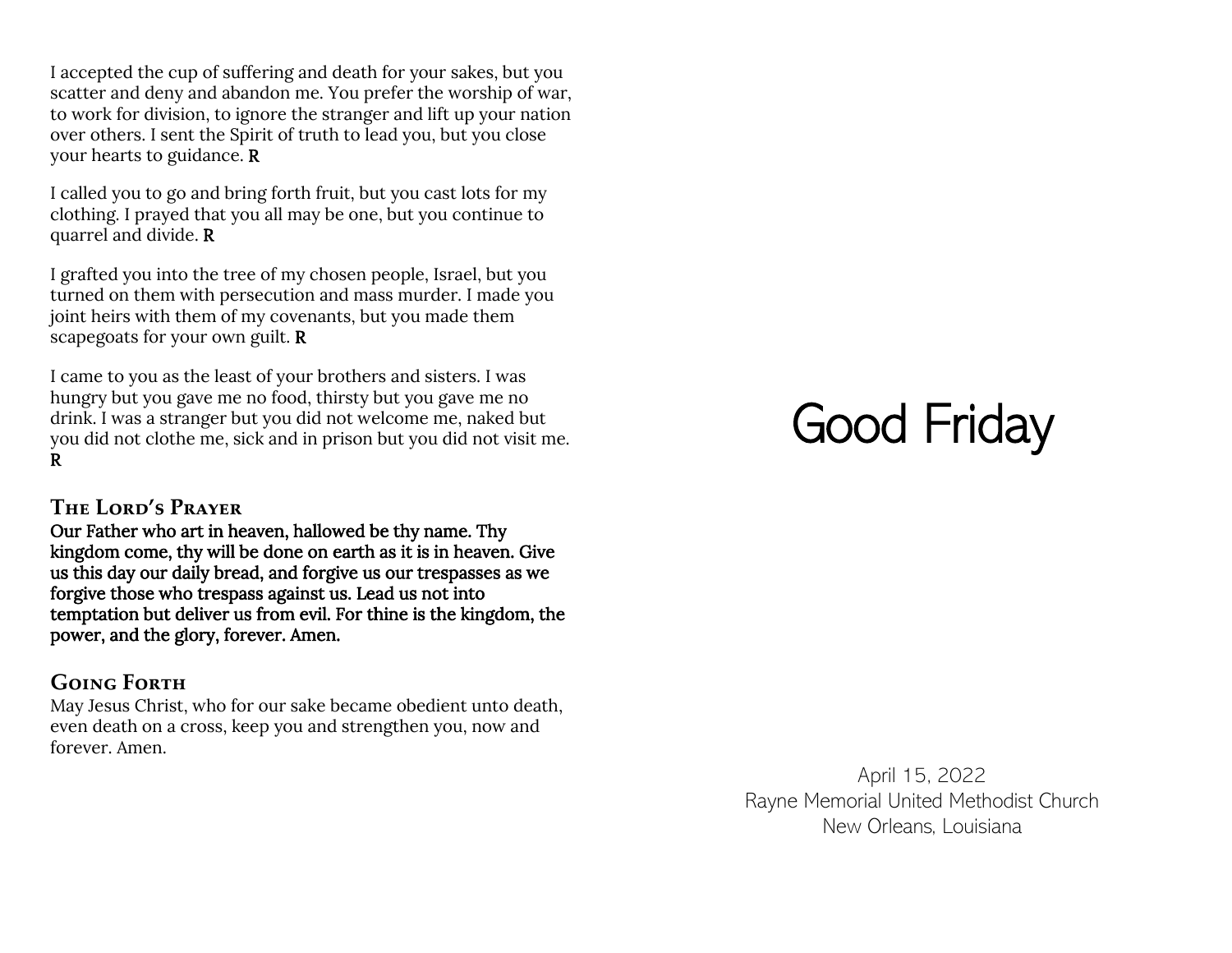I accepted the cup of suffering and death for your sakes, but you scatter and deny and abandon me. You prefer the worship of war, to work for division, to ignore the stranger and lift up your nation over others. I sent the Spirit of truth to lead you, but you close your hearts to guidance. R

I called you to go and bring forth fruit, but you cast lots for my clothing. I prayed that you all may be one, but you continue to quarrel and divide. R

I grafted you into the tree of my chosen people, Israel, but you turned on them with persecution and mass murder. I made you joint heirs with them of my covenants, but you made them scapegoats for your own guilt. R

I came to you as the least of your brothers and sisters. I was hungry but you gave me no food, thirsty but you gave me no drink. I was a stranger but you did not welcome me, naked but you did not clothe me, sick and in prison but you did not visit me. R

#### **The Lord's Prayer**

Our Father who art in heaven, hallowed be thy name. Thy kingdom come, thy will be done on earth as it is in heaven. Give us this day our daily bread, and forgive us our trespasses as we forgive those who trespass against us. Lead us not into temptation but deliver us from evil. For thine is the kingdom, the power, and the glory, forever. Amen.

## **Going Forth**

May Jesus Christ, who for our sake became obedient unto death, even death on a cross, keep you and strengthen you, now and forever. Amen.

# Good Friday

April 15, 2022 Rayne Memorial United Methodist Church New Orleans, Louisiana